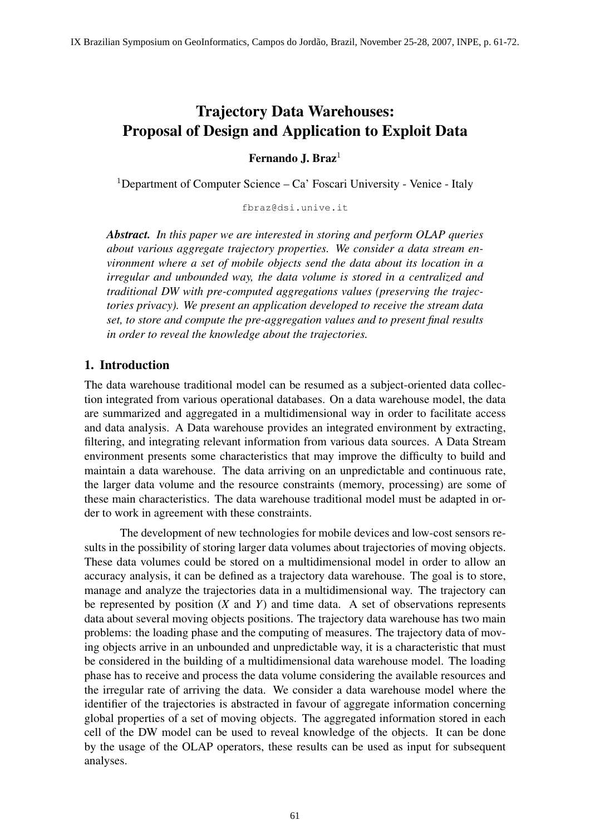# Trajectory Data Warehouses: Proposal of Design and Application to Exploit Data

Fernando J. Braz $<sup>1</sup>$ </sup>

<sup>1</sup>Department of Computer Science – Ca' Foscari University - Venice - Italy

fbraz@dsi.unive.it

*Abstract. In this paper we are interested in storing and perform OLAP queries about various aggregate trajectory properties. We consider a data stream environment where a set of mobile objects send the data about its location in a irregular and unbounded way, the data volume is stored in a centralized and traditional DW with pre-computed aggregations values (preserving the trajectories privacy). We present an application developed to receive the stream data set, to store and compute the pre-aggregation values and to present final results in order to reveal the knowledge about the trajectories.*

## 1. Introduction

The data warehouse traditional model can be resumed as a subject-oriented data collection integrated from various operational databases. On a data warehouse model, the data are summarized and aggregated in a multidimensional way in order to facilitate access and data analysis. A Data warehouse provides an integrated environment by extracting, filtering, and integrating relevant information from various data sources. A Data Stream environment presents some characteristics that may improve the difficulty to build and maintain a data warehouse. The data arriving on an unpredictable and continuous rate, the larger data volume and the resource constraints (memory, processing) are some of these main characteristics. The data warehouse traditional model must be adapted in order to work in agreement with these constraints.

The development of new technologies for mobile devices and low-cost sensors results in the possibility of storing larger data volumes about trajectories of moving objects. These data volumes could be stored on a multidimensional model in order to allow an accuracy analysis, it can be defined as a trajectory data warehouse. The goal is to store, manage and analyze the trajectories data in a multidimensional way. The trajectory can be represented by position (*X* and *Y*) and time data. A set of observations represents data about several moving objects positions. The trajectory data warehouse has two main problems: the loading phase and the computing of measures. The trajectory data of moving objects arrive in an unbounded and unpredictable way, it is a characteristic that must be considered in the building of a multidimensional data warehouse model. The loading phase has to receive and process the data volume considering the available resources and the irregular rate of arriving the data. We consider a data warehouse model where the identifier of the trajectories is abstracted in favour of aggregate information concerning global properties of a set of moving objects. The aggregated information stored in each cell of the DW model can be used to reveal knowledge of the objects. It can be done by the usage of the OLAP operators, these results can be used as input for subsequent analyses.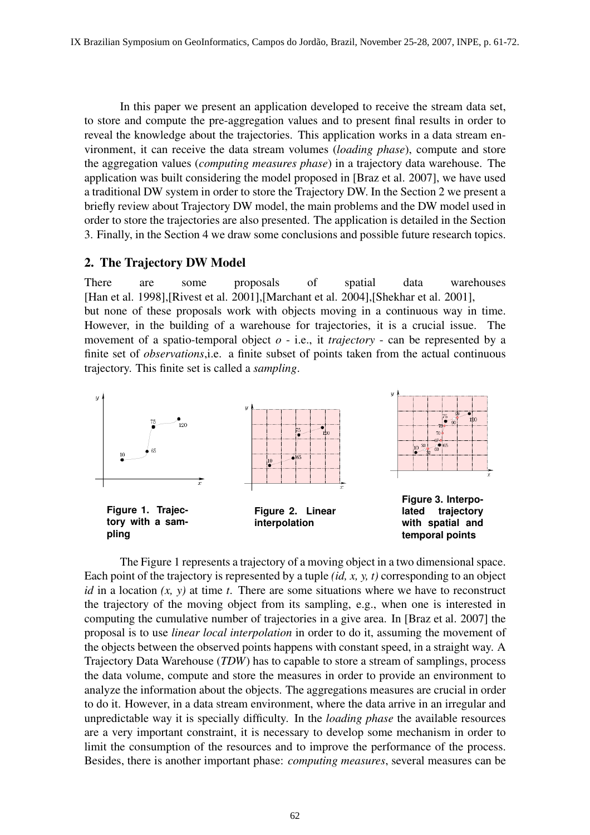In this paper we present an application developed to receive the stream data set, to store and compute the pre-aggregation values and to present final results in order to reveal the knowledge about the trajectories. This application works in a data stream environment, it can receive the data stream volumes (*loading phase*), compute and store the aggregation values (*computing measures phase*) in a trajectory data warehouse. The application was built considering the model proposed in [Braz et al. 2007], we have used a traditional DW system in order to store the Trajectory DW. In the Section 2 we present a briefly review about Trajectory DW model, the main problems and the DW model used in order to store the trajectories are also presented. The application is detailed in the Section 3. Finally, in the Section 4 we draw some conclusions and possible future research topics.

## 2. The Trajectory DW Model

There are some proposals of spatial data warehouses [Han et al. 1998],[Rivest et al. 2001],[Marchant et al. 2004],[Shekhar et al. 2001], but none of these proposals work with objects moving in a continuous way in time. However, in the building of a warehouse for trajectories, it is a crucial issue. The movement of a spatio-temporal object *o* - i.e., it *trajectory* - can be represented by a finite set of *observations*,i.e. a finite subset of points taken from the actual continuous trajectory. This finite set is called a *sampling*.



The Figure 1 represents a trajectory of a moving object in a two dimensional space. Each point of the trajectory is represented by a tuple *(id, x, y, t)* corresponding to an object *id* in a location *(x, y)* at time *t*. There are some situations where we have to reconstruct the trajectory of the moving object from its sampling, e.g., when one is interested in computing the cumulative number of trajectories in a give area. In [Braz et al. 2007] the proposal is to use *linear local interpolation* in order to do it, assuming the movement of the objects between the observed points happens with constant speed, in a straight way. A Trajectory Data Warehouse (*TDW*) has to capable to store a stream of samplings, process the data volume, compute and store the measures in order to provide an environment to analyze the information about the objects. The aggregations measures are crucial in order to do it. However, in a data stream environment, where the data arrive in an irregular and unpredictable way it is specially difficulty. In the *loading phase* the available resources are a very important constraint, it is necessary to develop some mechanism in order to limit the consumption of the resources and to improve the performance of the process. Besides, there is another important phase: *computing measures*, several measures can be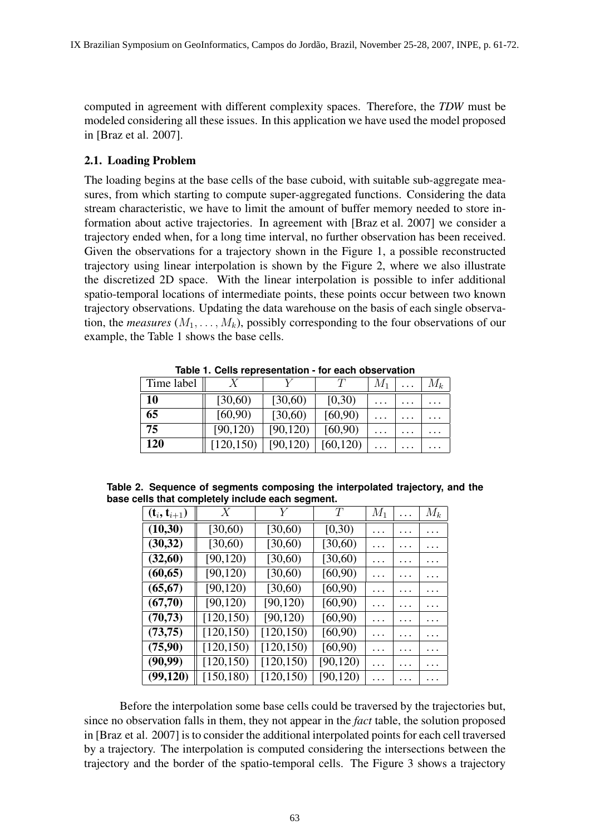computed in agreement with different complexity spaces. Therefore, the *TDW* must be modeled considering all these issues. In this application we have used the model proposed in [Braz et al. 2007].

#### 2.1. Loading Problem

The loading begins at the base cells of the base cuboid, with suitable sub-aggregate measures, from which starting to compute super-aggregated functions. Considering the data stream characteristic, we have to limit the amount of buffer memory needed to store information about active trajectories. In agreement with [Braz et al. 2007] we consider a trajectory ended when, for a long time interval, no further observation has been received. Given the observations for a trajectory shown in the Figure 1, a possible reconstructed trajectory using linear interpolation is shown by the Figure 2, where we also illustrate the discretized 2D space. With the linear interpolation is possible to infer additional spatio-temporal locations of intermediate points, these points occur between two known trajectory observations. Updating the data warehouse on the basis of each single observation, the *measures*  $(M_1, \ldots, M_k)$ , possibly corresponding to the four observations of our example, the Table 1 shows the base cells.

| Time label |            |           |           | $M_1$    | $\cdot$  | $M_k$    |
|------------|------------|-----------|-----------|----------|----------|----------|
| 10         | [30,60)    | [30,60)   | [0,30)    | $\cdots$ | $\cdots$ | $\cdots$ |
| 65         | [60, 90)   | [30,60)   | [60, 90)  | $\cdots$ | $\cdots$ |          |
| 75         | [90, 120)  | [90, 120) | [60, 90)  | $\cdots$ | $\cdots$ | $\cdots$ |
| 120        | [120, 150) | [90, 120] | [60, 120) | $\cdots$ | $\cdots$ | $\cdots$ |

**Table 1. Cells representation - for each observation**

|  | Table 2. Sequence of segments composing the interpolated trajectory, and the |  |  |  |
|--|------------------------------------------------------------------------------|--|--|--|
|  | base cells that completely include each segment.                             |  |  |  |

| $({\bf t}_i, {\bf t}_{i+1})$ | $\boldsymbol{X}$ | Y          | Т         | $M_1$    | .        | $M_k$ |
|------------------------------|------------------|------------|-----------|----------|----------|-------|
| (10,30)                      | [30,60)          | [30,60)    | [0,30)    | $\cdots$ | .        |       |
| (30, 32)                     | [30,60)          | [30,60)    | [30,60)   | $\cdots$ |          |       |
| (32,60)                      | [90, 120)        | [30,60)    | [30,60)   | $\cdots$ |          |       |
| (60, 65)                     | [90, 120)        | [30,60)    | [60, 90)  | $\cdots$ |          |       |
| (65, 67)                     | [90, 120)        | [30,60)    | [60, 90)  | $\cdots$ |          |       |
| (67,70)                      | [90, 120)        | [90, 120)  | [60, 90)  | $\cdots$ | $\cdots$ |       |
| (70, 73)                     | [120, 150)       | [90, 120)  | [60, 90)  | $\cdots$ | .        |       |
| (73,75)                      | [120, 150)       | [120, 150) | [60, 90)  | $\cdots$ |          |       |
| (75,90)                      | [120, 150)       | [120, 150) | [60, 90)  | $\cdots$ | .        |       |
| (90, 99)                     | [120, 150)       | [120, 150) | [90, 120) | $\cdots$ | .        |       |
| (99, 120)                    | [150, 180)       | [120, 150) | [90, 120) | .        | .        | .     |

Before the interpolation some base cells could be traversed by the trajectories but, since no observation falls in them, they not appear in the *fact* table, the solution proposed in [Braz et al. 2007] is to consider the additional interpolated points for each cell traversed by a trajectory. The interpolation is computed considering the intersections between the trajectory and the border of the spatio-temporal cells. The Figure 3 shows a trajectory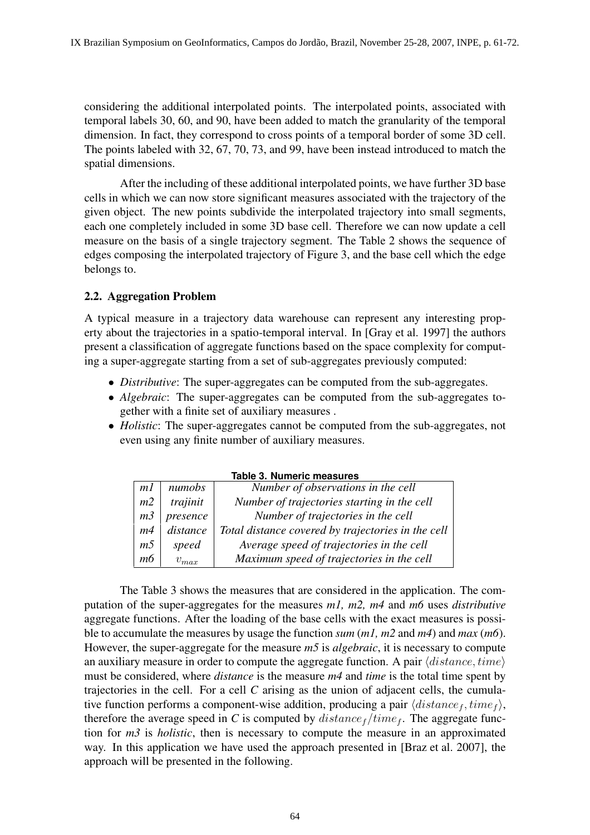considering the additional interpolated points. The interpolated points, associated with temporal labels 30, 60, and 90, have been added to match the granularity of the temporal dimension. In fact, they correspond to cross points of a temporal border of some 3D cell. The points labeled with 32, 67, 70, 73, and 99, have been instead introduced to match the spatial dimensions.

After the including of these additional interpolated points, we have further 3D base cells in which we can now store significant measures associated with the trajectory of the given object. The new points subdivide the interpolated trajectory into small segments, each one completely included in some 3D base cell. Therefore we can now update a cell measure on the basis of a single trajectory segment. The Table 2 shows the sequence of edges composing the interpolated trajectory of Figure 3, and the base cell which the edge belongs to.

## 2.2. Aggregation Problem

A typical measure in a trajectory data warehouse can represent any interesting property about the trajectories in a spatio-temporal interval. In [Gray et al. 1997] the authors present a classification of aggregate functions based on the space complexity for computing a super-aggregate starting from a set of sub-aggregates previously computed:

- *Distributive*: The super-aggregates can be computed from the sub-aggregates.
- *Algebraic*: The super-aggregates can be computed from the sub-aggregates together with a finite set of auxiliary measures .
- *Holistic*: The super-aggregates cannot be computed from the sub-aggregates, not even using any finite number of auxiliary measures.

| Table 3. Numeric measures |           |                                                    |  |  |
|---------------------------|-----------|----------------------------------------------------|--|--|
| m1                        | numobs    | Number of observations in the cell                 |  |  |
| m <sub>2</sub>            | trajinit  | Number of trajectories starting in the cell        |  |  |
| m <sub>3</sub>            | presence  | Number of trajectories in the cell                 |  |  |
| m4                        | distance  | Total distance covered by trajectories in the cell |  |  |
| <i>m5</i>                 | speed     | Average speed of trajectories in the cell          |  |  |
| тб                        | $v_{max}$ | Maximum speed of trajectories in the cell          |  |  |

**Table 3. Numeric measures**

The Table 3 shows the measures that are considered in the application. The computation of the super-aggregates for the measures *m1, m2, m4* and *m6* uses *distributive* aggregate functions. After the loading of the base cells with the exact measures is possible to accumulate the measures by usage the function *sum* (*m1, m2* and *m4*) and *max* (*m6*). However, the super-aggregate for the measure *m5* is *algebraic*, it is necessary to compute an auxiliary measure in order to compute the aggregate function. A pair  $\langle distance, time \rangle$ must be considered, where *distance* is the measure *m4* and *time* is the total time spent by trajectories in the cell. For a cell *C* arising as the union of adjacent cells, the cumulative function performs a component-wise addition, producing a pair  $\langle distance_f, time_f \rangle$ , therefore the average speed in *C* is computed by  $distance_f / time_f$ . The aggregate function for *m3* is *holistic*, then is necessary to compute the measure in an approximated way. In this application we have used the approach presented in [Braz et al. 2007], the approach will be presented in the following.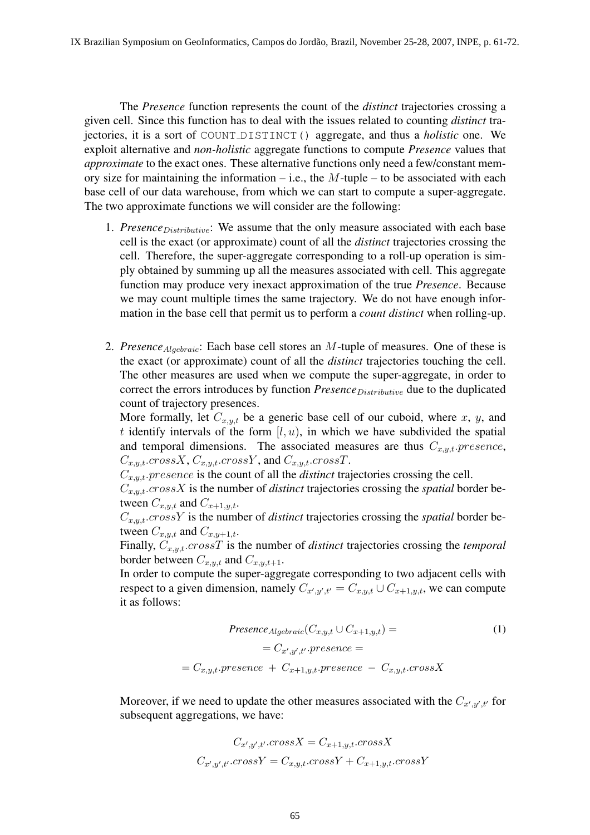The *Presence* function represents the count of the *distinct* trajectories crossing a given cell. Since this function has to deal with the issues related to counting *distinct* trajectories, it is a sort of COUNT DISTINCT() aggregate, and thus a *holistic* one. We exploit alternative and *non-holistic* aggregate functions to compute *Presence* values that *approximate* to the exact ones. These alternative functions only need a few/constant memory size for maintaining the information – i.e., the  $M$ -tuple – to be associated with each base cell of our data warehouse, from which we can start to compute a super-aggregate. The two approximate functions we will consider are the following:

- 1. *Presence*Distributive: We assume that the only measure associated with each base cell is the exact (or approximate) count of all the *distinct* trajectories crossing the cell. Therefore, the super-aggregate corresponding to a roll-up operation is simply obtained by summing up all the measures associated with cell. This aggregate function may produce very inexact approximation of the true *Presence*. Because we may count multiple times the same trajectory. We do not have enough information in the base cell that permit us to perform a *count distinct* when rolling-up.
- 2. *Presence*Algebraic: Each base cell stores an M-tuple of measures. One of these is the exact (or approximate) count of all the *distinct* trajectories touching the cell. The other measures are used when we compute the super-aggregate, in order to correct the errors introduces by function *Presence* Distributive due to the duplicated count of trajectory presences.

More formally, let  $C_{x,y,t}$  be a generic base cell of our cuboid, where x, y, and t identify intervals of the form  $[l, u)$ , in which we have subdivided the spatial and temporal dimensions. The associated measures are thus  $C_{x,y,t}$ . presence,  $C_{x,y,t}.crossX, C_{x,y,t}.crossY, and C_{x,y,t}.crossT.$ 

 $C_{x,y,t}.presence$  is the count of all the *distinct* trajectories crossing the cell.

 $C_{x,y,t}$ .crossX is the number of *distinct* trajectories crossing the *spatial* border between  $C_{x,y,t}$  and  $C_{x+1,y,t}$ .

 $C_{x,y,t}$ .crossY is the number of *distinct* trajectories crossing the *spatial* border between  $C_{x,y,t}$  and  $C_{x,y+1,t}$ .

Finally,  $C_{x,y,t}$ .crossT is the number of *distinct* trajectories crossing the *temporal* border between  $C_{x,y,t}$  and  $C_{x,y,t+1}$ .

In order to compute the super-aggregate corresponding to two adjacent cells with respect to a given dimension, namely  $C_{x',y',t'} = C_{x,y,t} \cup C_{x+1,y,t}$ , we can compute it as follows:

$$
Presence_{Algebraic}(C_{x,y,t} \cup C_{x+1,y,t}) =
$$
\n
$$
= C_{x',y',t'} \cdot presence =
$$
\n
$$
= C_{x,y,t} \cdot presence + C_{x+1,y,t} \cdot presence - C_{x,y,t} \cdot crossX
$$
\n
$$
(1)
$$

Moreover, if we need to update the other measures associated with the  $C_{x',y',t'}$  for subsequent aggregations, we have:

$$
C_{x',y',t'}.cross X = C_{x+1,y,t}.cross X
$$
  

$$
C_{x',y',t'}.cross Y = C_{x,y,t}.cross Y + C_{x+1,y,t}.cross Y
$$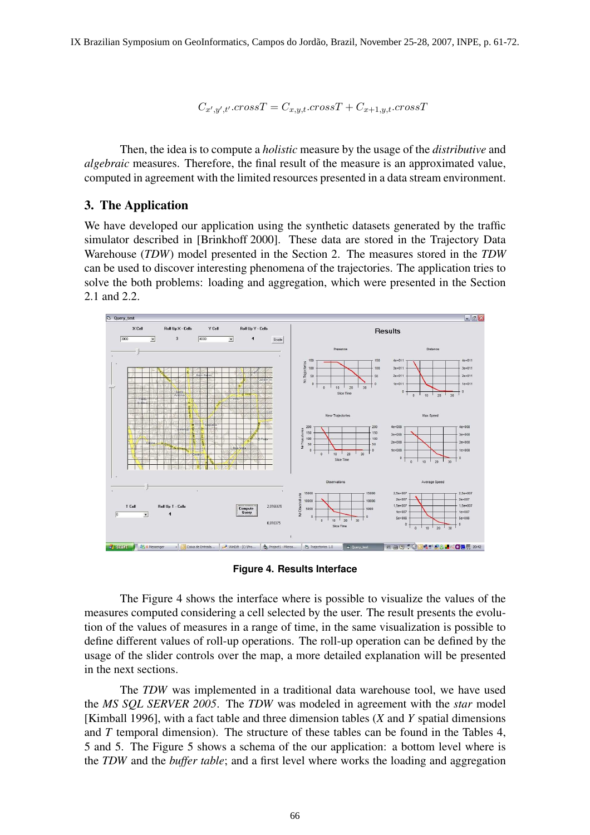$C_{x',y',t'}$ .cross $T = C_{x,y,t}$ .cross $T + C_{x+1,y,t}$ .cross $T$ 

Then, the idea is to compute a *holistic* measure by the usage of the *distributive* and *algebraic* measures. Therefore, the final result of the measure is an approximated value, computed in agreement with the limited resources presented in a data stream environment.

## 3. The Application

We have developed our application using the synthetic datasets generated by the traffic simulator described in [Brinkhoff 2000]. These data are stored in the Trajectory Data Warehouse (*TDW*) model presented in the Section 2. The measures stored in the *TDW* can be used to discover interesting phenomena of the trajectories. The application tries to solve the both problems: loading and aggregation, which were presented in the Section 2.1 and 2.2.



**Figure 4. Results Interface**

The Figure 4 shows the interface where is possible to visualize the values of the measures computed considering a cell selected by the user. The result presents the evolution of the values of measures in a range of time, in the same visualization is possible to define different values of roll-up operations. The roll-up operation can be defined by the usage of the slider controls over the map, a more detailed explanation will be presented in the next sections.

The *TDW* was implemented in a traditional data warehouse tool, we have used the *MS SQL SERVER 2005*. The *TDW* was modeled in agreement with the *star* model [Kimball 1996], with a fact table and three dimension tables (*X* and *Y* spatial dimensions and *T* temporal dimension). The structure of these tables can be found in the Tables 4, 5 and 5. The Figure 5 shows a schema of the our application: a bottom level where is the *TDW* and the *buffer table*; and a first level where works the loading and aggregation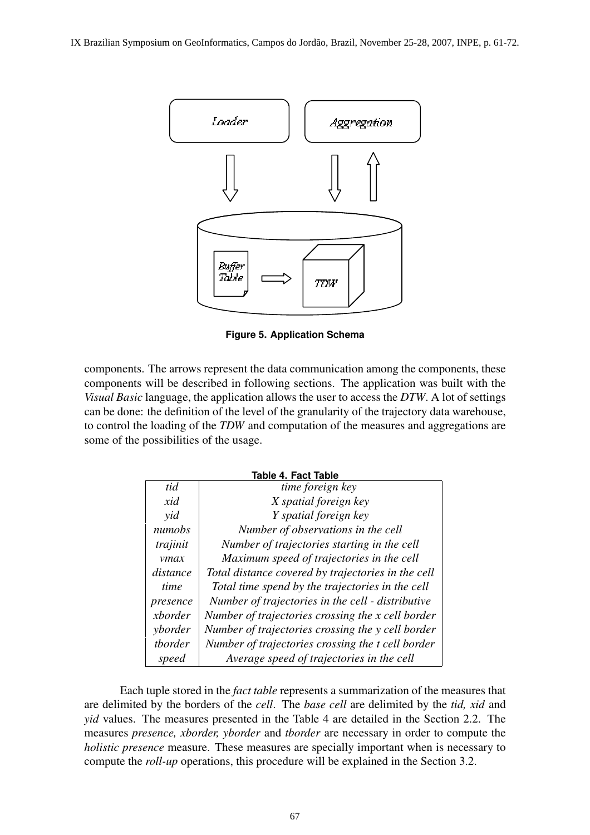

**Figure 5. Application Schema**

components. The arrows represent the data communication among the components, these components will be described in following sections. The application was built with the *Visual Basic* language, the application allows the user to access the *DTW*. A lot of settings can be done: the definition of the level of the granularity of the trajectory data warehouse, to control the loading of the *TDW* and computation of the measures and aggregations are some of the possibilities of the usage.

| <b>Table 4. Fact Table</b> |                                                    |  |  |  |
|----------------------------|----------------------------------------------------|--|--|--|
| tid                        | time foreign key                                   |  |  |  |
| xid                        | X spatial foreign key                              |  |  |  |
| yid                        | Y spatial foreign key                              |  |  |  |
| numobs                     | Number of observations in the cell                 |  |  |  |
| trajinit                   | Number of trajectories starting in the cell        |  |  |  |
| ymax                       | Maximum speed of trajectories in the cell          |  |  |  |
| distance                   | Total distance covered by trajectories in the cell |  |  |  |
| time                       | Total time spend by the trajectories in the cell   |  |  |  |
| presence                   | Number of trajectories in the cell - distributive  |  |  |  |
| xborder                    | Number of trajectories crossing the x cell border  |  |  |  |
| yborder                    | Number of trajectories crossing the y cell border  |  |  |  |
| tborder                    | Number of trajectories crossing the t cell border  |  |  |  |
| speed                      | Average speed of trajectories in the cell          |  |  |  |

Each tuple stored in the *fact table* represents a summarization of the measures that are delimited by the borders of the *cell*. The *base cell* are delimited by the *tid, xid* and *yid* values. The measures presented in the Table 4 are detailed in the Section 2.2. The measures *presence, xborder, yborder* and *tborder* are necessary in order to compute the *holistic presence* measure. These measures are specially important when is necessary to compute the *roll-up* operations, this procedure will be explained in the Section 3.2.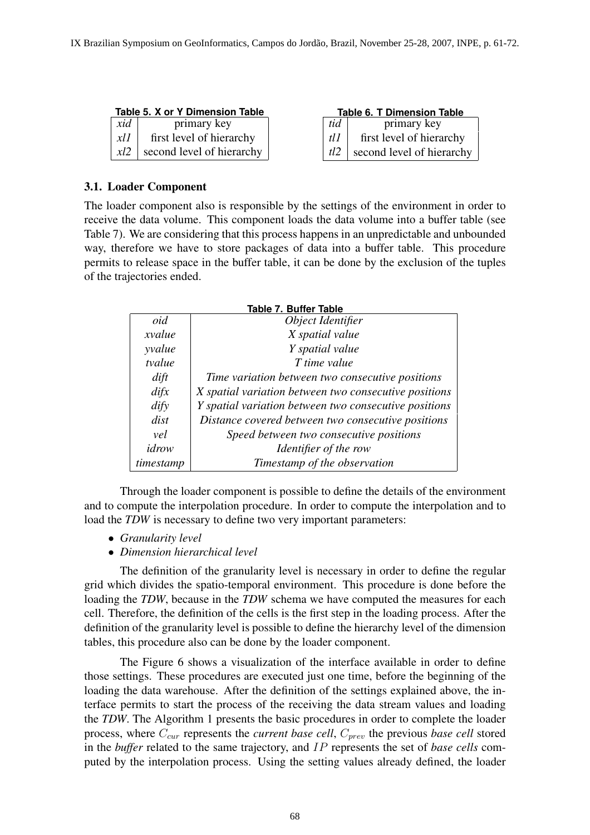|      | Table 5. X or Y Dimension Table |      |
|------|---------------------------------|------|
| xid  | primary key                     | tid  |
| xlll | first level of hierarchy        | tl I |
| x l2 | second level of hierarchy       |      |

| <b>Table 6. T Dimension Table</b> |                                   |  |  |
|-----------------------------------|-----------------------------------|--|--|
| tid                               | primary key                       |  |  |
| tl 1                              | first level of hierarchy          |  |  |
|                                   | $tl2$   second level of hierarchy |  |  |

#### 3.1. Loader Component

The loader component also is responsible by the settings of the environment in order to receive the data volume. This component loads the data volume into a buffer table (see Table 7). We are considering that this process happens in an unpredictable and unbounded way, therefore we have to store packages of data into a buffer table. This procedure permits to release space in the buffer table, it can be done by the exclusion of the tuples of the trajectories ended.

| 18916 <i>I</i> . Dungi 18916 |                                                       |  |  |  |  |
|------------------------------|-------------------------------------------------------|--|--|--|--|
| oid                          | Object Identifier                                     |  |  |  |  |
| xvalue                       | X spatial value                                       |  |  |  |  |
| yvalue                       | Y spatial value                                       |  |  |  |  |
| tvalue                       | T time value                                          |  |  |  |  |
| $\frac{d}{dt}$               | Time variation between two consecutive positions      |  |  |  |  |
| difx                         | X spatial variation between two consecutive positions |  |  |  |  |
| $\frac{d}{dy}$               | Y spatial variation between two consecutive positions |  |  |  |  |
| dist                         | Distance covered between two consecutive positions    |  |  |  |  |
| vel                          | Speed between two consecutive positions               |  |  |  |  |
| idrow                        | Identifier of the row                                 |  |  |  |  |
| timestamp                    | Timestamp of the observation                          |  |  |  |  |

#### **Table 7. Buffer Table**

Through the loader component is possible to define the details of the environment and to compute the interpolation procedure. In order to compute the interpolation and to load the *TDW* is necessary to define two very important parameters:

- *Granularity level*
- *Dimension hierarchical level*

The definition of the granularity level is necessary in order to define the regular grid which divides the spatio-temporal environment. This procedure is done before the loading the *TDW*, because in the *TDW* schema we have computed the measures for each cell. Therefore, the definition of the cells is the first step in the loading process. After the definition of the granularity level is possible to define the hierarchy level of the dimension tables, this procedure also can be done by the loader component.

The Figure 6 shows a visualization of the interface available in order to define those settings. These procedures are executed just one time, before the beginning of the loading the data warehouse. After the definition of the settings explained above, the interface permits to start the process of the receiving the data stream values and loading the *TDW*. The Algorithm 1 presents the basic procedures in order to complete the loader process, where  $C_{cur}$  represents the *current base cell*,  $C_{prev}$  the previous *base cell* stored in the *buffer* related to the same trajectory, and IP represents the set of *base cells* computed by the interpolation process. Using the setting values already defined, the loader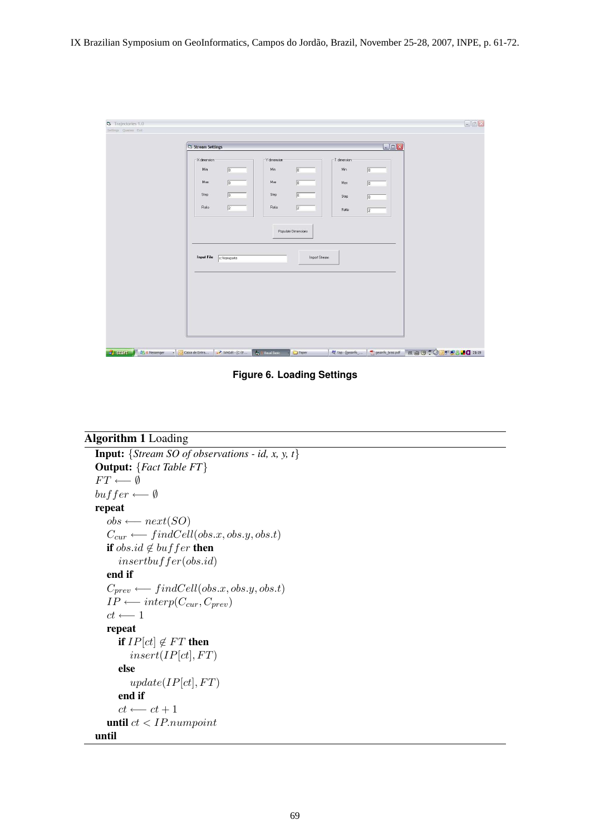| <b>b</b> Trajectories 1.0        |                                                     |                                |                  |                  | $\begin{picture}(20,20) \put(0,0){\line(1,0){10}} \put(15,0){\line(1,0){10}} \put(15,0){\line(1,0){10}} \put(15,0){\line(1,0){10}} \put(15,0){\line(1,0){10}} \put(15,0){\line(1,0){10}} \put(15,0){\line(1,0){10}} \put(15,0){\line(1,0){10}} \put(15,0){\line(1,0){10}} \put(15,0){\line(1,0){10}} \put(15,0){\line(1,0){10}} \put(15,0){\line(1$ |
|----------------------------------|-----------------------------------------------------|--------------------------------|------------------|------------------|-----------------------------------------------------------------------------------------------------------------------------------------------------------------------------------------------------------------------------------------------------------------------------------------------------------------------------------------------------|
| Settings Queries Exit            |                                                     |                                |                  |                  |                                                                                                                                                                                                                                                                                                                                                     |
|                                  |                                                     |                                |                  |                  |                                                                                                                                                                                                                                                                                                                                                     |
|                                  | Stream Settings                                     |                                |                  | $\Box \Box$ x    |                                                                                                                                                                                                                                                                                                                                                     |
|                                  | X dimension                                         | Y dimension                    | T dimension      |                  |                                                                                                                                                                                                                                                                                                                                                     |
|                                  | Min<br>$ 0\rangle$                                  | Min<br>$\sqrt{0}$              | Min              | $\boxed{0}$      |                                                                                                                                                                                                                                                                                                                                                     |
|                                  | $\sqrt{0}$<br>Max                                   | Max<br>$\sqrt{0}$              | Max              | $\boxed{0}$      |                                                                                                                                                                                                                                                                                                                                                     |
|                                  | $\sqrt{0}$<br>Step                                  | $\sqrt{0}$<br>Step             | Step             | $\boxed{0}$      |                                                                                                                                                                                                                                                                                                                                                     |
|                                  | $\sqrt{2}$<br>Ratio                                 | $\sqrt{2}$<br>Ratio            | Ratio            | $\boxed{2}$      |                                                                                                                                                                                                                                                                                                                                                     |
|                                  |                                                     | Populate Dimensions            |                  |                  |                                                                                                                                                                                                                                                                                                                                                     |
|                                  | Input File                                          | Import Stream                  |                  |                  |                                                                                                                                                                                                                                                                                                                                                     |
|                                  | c:\transporte                                       |                                |                  |                  |                                                                                                                                                                                                                                                                                                                                                     |
|                                  |                                                     |                                |                  |                  |                                                                                                                                                                                                                                                                                                                                                     |
|                                  |                                                     |                                |                  |                  |                                                                                                                                                                                                                                                                                                                                                     |
|                                  |                                                     |                                |                  |                  |                                                                                                                                                                                                                                                                                                                                                     |
|                                  |                                                     |                                |                  |                  |                                                                                                                                                                                                                                                                                                                                                     |
|                                  |                                                     |                                |                  |                  |                                                                                                                                                                                                                                                                                                                                                     |
|                                  |                                                     |                                |                  |                  |                                                                                                                                                                                                                                                                                                                                                     |
| <b>H</b> start<br>23.4 Messenger | - Caixa de Entra<br>$W \rightarrow W \rightarrow W$ | <b>New Your Basic</b><br>Paper | W Yap - [geoinfo | geoinfo_braz.pdf | PT 面 D : 005 28 10 21:19                                                                                                                                                                                                                                                                                                                            |

**Figure 6. Loading Settings**

```
Algorithm 1 Loading
Input: {Stream SO of observations - id, x, y, t}
Output: {Fact Table FT}
 FT \longleftarrow \emptysetbut fer \longleftarrow \emptysetrepeat
    obs \longleftarrow next(SO)C_{cur} \longleftarrow findCell (obs.x, obs.y, obs.t)if obs.id \notin buffer then
       insertbuffer(obs.id)
    end if
    C_{prev} \longleftarrow findCell(obs.x, obs.y, obs.t)IP \longleftarrow \text{interp}(C_{cur}, C_{prev})ct \longleftarrow 1repeat
       if IP[ct] \notin FT then
          insert/IP[ct], FT)else
          update(IP[ct], FT)end if
       ct \longleftarrow ct+1until ct < IP.numpoint
until
```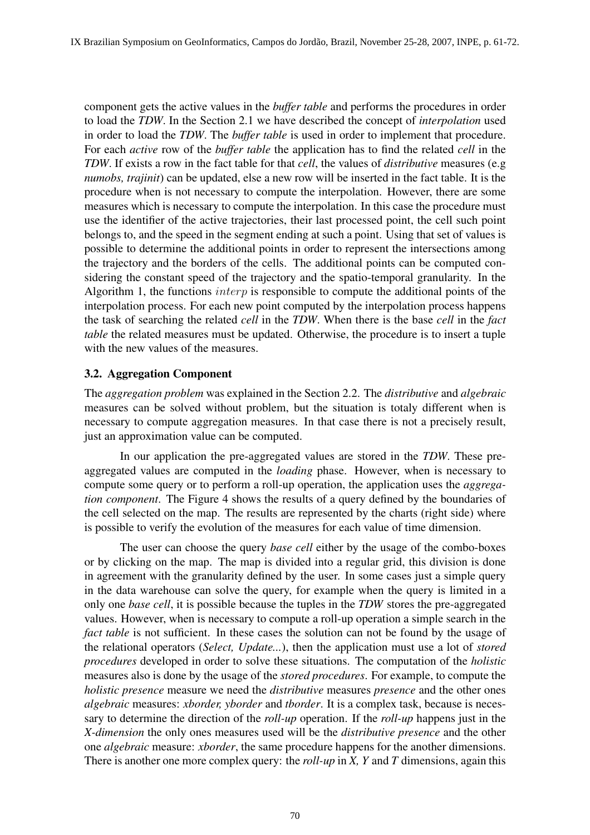component gets the active values in the *buffer table* and performs the procedures in order to load the *TDW*. In the Section 2.1 we have described the concept of *interpolation* used in order to load the *TDW*. The *buffer table* is used in order to implement that procedure. For each *active* row of the *buffer table* the application has to find the related *cell* in the *TDW*. If exists a row in the fact table for that *cell*, the values of *distributive* measures (e.g *numobs, trajinit*) can be updated, else a new row will be inserted in the fact table. It is the procedure when is not necessary to compute the interpolation. However, there are some measures which is necessary to compute the interpolation. In this case the procedure must use the identifier of the active trajectories, their last processed point, the cell such point belongs to, and the speed in the segment ending at such a point. Using that set of values is possible to determine the additional points in order to represent the intersections among the trajectory and the borders of the cells. The additional points can be computed considering the constant speed of the trajectory and the spatio-temporal granularity. In the Algorithm 1, the functions  $\text{interp}$  is responsible to compute the additional points of the interpolation process. For each new point computed by the interpolation process happens the task of searching the related *cell* in the *TDW*. When there is the base *cell* in the *fact table* the related measures must be updated. Otherwise, the procedure is to insert a tuple with the new values of the measures.

## 3.2. Aggregation Component

The *aggregation problem* was explained in the Section 2.2. The *distributive* and *algebraic* measures can be solved without problem, but the situation is totaly different when is necessary to compute aggregation measures. In that case there is not a precisely result, just an approximation value can be computed.

In our application the pre-aggregated values are stored in the *TDW*. These preaggregated values are computed in the *loading* phase. However, when is necessary to compute some query or to perform a roll-up operation, the application uses the *aggregation component*. The Figure 4 shows the results of a query defined by the boundaries of the cell selected on the map. The results are represented by the charts (right side) where is possible to verify the evolution of the measures for each value of time dimension.

The user can choose the query *base cell* either by the usage of the combo-boxes or by clicking on the map. The map is divided into a regular grid, this division is done in agreement with the granularity defined by the user. In some cases just a simple query in the data warehouse can solve the query, for example when the query is limited in a only one *base cell*, it is possible because the tuples in the *TDW* stores the pre-aggregated values. However, when is necessary to compute a roll-up operation a simple search in the *fact table* is not sufficient. In these cases the solution can not be found by the usage of the relational operators (*Select, Update...*), then the application must use a lot of *stored procedures* developed in order to solve these situations. The computation of the *holistic* measures also is done by the usage of the *stored procedures*. For example, to compute the *holistic presence* measure we need the *distributive* measures *presence* and the other ones *algebraic* measures: *xborder, yborder* and *tborder*. It is a complex task, because is necessary to determine the direction of the *roll-up* operation. If the *roll-up* happens just in the *X-dimension* the only ones measures used will be the *distributive presence* and the other one *algebraic* measure: *xborder*, the same procedure happens for the another dimensions. There is another one more complex query: the *roll-up* in *X, Y* and *T* dimensions, again this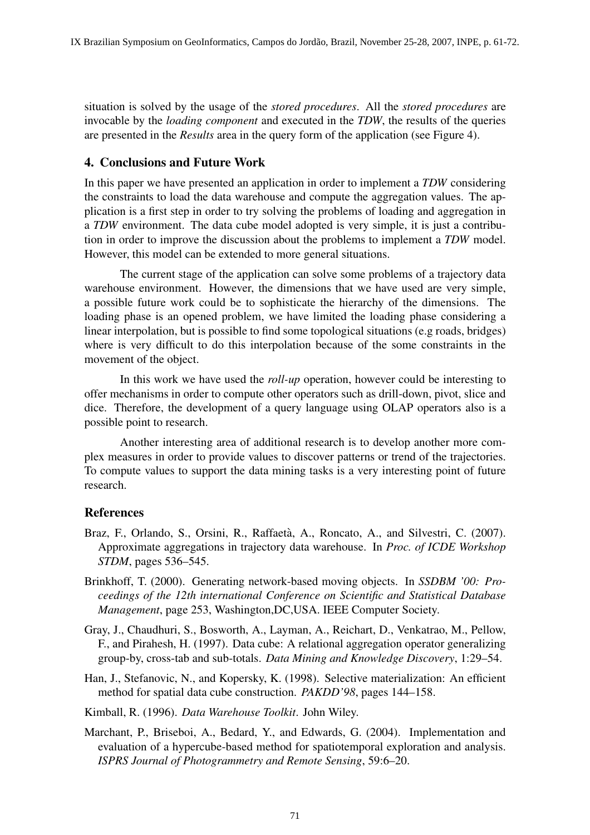situation is solved by the usage of the *stored procedures*. All the *stored procedures* are invocable by the *loading component* and executed in the *TDW*, the results of the queries are presented in the *Results* area in the query form of the application (see Figure 4).

## 4. Conclusions and Future Work

In this paper we have presented an application in order to implement a *TDW* considering the constraints to load the data warehouse and compute the aggregation values. The application is a first step in order to try solving the problems of loading and aggregation in a *TDW* environment. The data cube model adopted is very simple, it is just a contribution in order to improve the discussion about the problems to implement a *TDW* model. However, this model can be extended to more general situations.

The current stage of the application can solve some problems of a trajectory data warehouse environment. However, the dimensions that we have used are very simple, a possible future work could be to sophisticate the hierarchy of the dimensions. The loading phase is an opened problem, we have limited the loading phase considering a linear interpolation, but is possible to find some topological situations (e.g roads, bridges) where is very difficult to do this interpolation because of the some constraints in the movement of the object.

In this work we have used the *roll-up* operation, however could be interesting to offer mechanisms in order to compute other operators such as drill-down, pivot, slice and dice. Therefore, the development of a query language using OLAP operators also is a possible point to research.

Another interesting area of additional research is to develop another more complex measures in order to provide values to discover patterns or trend of the trajectories. To compute values to support the data mining tasks is a very interesting point of future research.

# References

- Braz, F., Orlando, S., Orsini, R., Raffaetà, A., Roncato, A., and Silvestri, C. (2007). Approximate aggregations in trajectory data warehouse. In *Proc. of ICDE Workshop STDM*, pages 536–545.
- Brinkhoff, T. (2000). Generating network-based moving objects. In *SSDBM '00: Proceedings of the 12th international Conference on Scientific and Statistical Database Management*, page 253, Washington,DC,USA. IEEE Computer Society.
- Gray, J., Chaudhuri, S., Bosworth, A., Layman, A., Reichart, D., Venkatrao, M., Pellow, F., and Pirahesh, H. (1997). Data cube: A relational aggregation operator generalizing group-by, cross-tab and sub-totals. *Data Mining and Knowledge Discovery*, 1:29–54.
- Han, J., Stefanovic, N., and Kopersky, K. (1998). Selective materialization: An efficient method for spatial data cube construction. *PAKDD'98*, pages 144–158.

Kimball, R. (1996). *Data Warehouse Toolkit*. John Wiley.

Marchant, P., Briseboi, A., Bedard, Y., and Edwards, G. (2004). Implementation and evaluation of a hypercube-based method for spatiotemporal exploration and analysis. *ISPRS Journal of Photogrammetry and Remote Sensing*, 59:6–20.